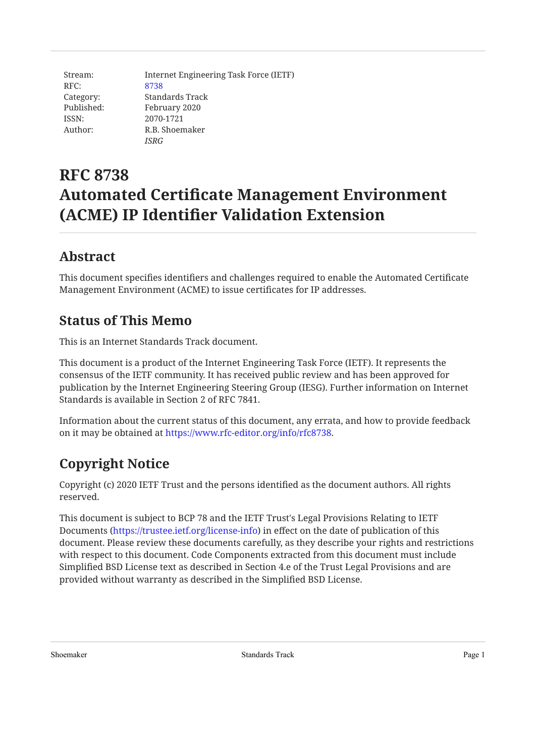| Stream:    | Internet Engineering Task Force (IETF) |
|------------|----------------------------------------|
| RFC:       | 8738                                   |
| Category:  | Standards Track                        |
| Published: | February 2020                          |
| ISSN:      | 2070-1721                              |
| Author:    | R.B. Shoemaker                         |
|            | <b>ISRG</b>                            |

# **RFC 8738 Automated Certificate Management Environment (ACME) IP Identifier Validation Extension**

## <span id="page-0-0"></span>**[Abstract](#page-0-0)**

This document specifies identifiers and challenges required to enable the Automated Certificate Management Environment (ACME) to issue certificates for IP addresses.

## <span id="page-0-1"></span>**[Status of This Memo](#page-0-1)**

This is an Internet Standards Track document.

This document is a product of the Internet Engineering Task Force (IETF). It represents the consensus of the IETF community. It has received public review and has been approved for publication by the Internet Engineering Steering Group (IESG). Further information on Internet Standards is available in Section 2 of RFC 7841.

Information about the current status of this document, any errata, and how to provide feedback on it may be obtained at <https://www.rfc-editor.org/info/rfc8738>.

# <span id="page-0-2"></span>**[Copyright Notice](#page-0-2)**

Copyright (c) 2020 IETF Trust and the persons identified as the document authors. All rights reserved.

This document is subject to BCP 78 and the IETF Trust's Legal Provisions Relating to IETF Documents (<https://trustee.ietf.org/license-info>) in effect on the date of publication of this document. Please review these documents carefully, as they describe your rights and restrictions with respect to this document. Code Components extracted from this document must include Simplified BSD License text as described in Section 4.e of the Trust Legal Provisions and are provided without warranty as described in the Simplified BSD License.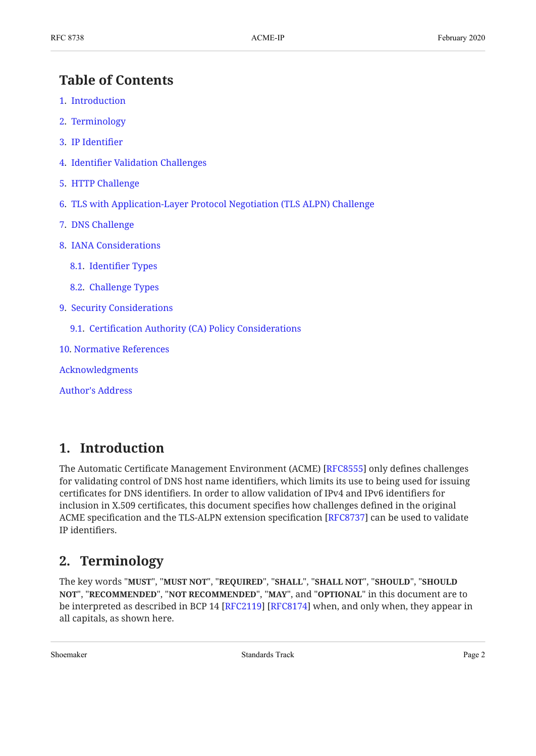### <span id="page-1-0"></span>**[Table of Contents](#page-1-0)**

- [1.](#page-1-1) [Introduction](#page-1-1)
- [2.](#page-1-2) [Terminology](#page-1-2)
- [3.](#page-2-0) [IP Identi](#page-2-0)fier
- [4.](#page-2-1) Identifi[er Validation Challenges](#page-2-1)
- [5.](#page-2-2) [HTTP Challenge](#page-2-2)
- [6.](#page-2-3) [TLS with Application-Layer Protocol Negotiation \(TLS ALPN\) Challenge](#page-2-3)
- [7.](#page-2-4) [DNS Challenge](#page-2-4)
- [8.](#page-3-0) [IANA Considerations](#page-3-0)
	- [8.1.](#page-3-1) Identifi[er Types](#page-3-1)
	- [8.2.](#page-3-2) [Challenge Types](#page-3-2)
- [9.](#page-3-3) [Security Considerations](#page-3-3)
	- [9.1.](#page-3-4) Certifi[cation Authority \(CA\) Policy Considerations](#page-3-4)
- [10](#page-3-5). [Normative References](#page-3-5)
- [Acknowledgments](#page-4-0)

[Author's Address](#page-4-1)

#### <span id="page-1-1"></span>**[1. Introduction](#page-1-1)**

The Automatic Certificate Management Environment (ACME) [RFC8555] only defines challenges for validating control of DNS host name identifiers, which limits its use to being used for issuing certificates for DNS identifiers. In order to allow validation of IPv4 and IPv6 identifiers for inclusion in X.509 certificates, this document specifies how challenges defined in the original ACME specification and the TLS-ALPN extension specification [\[RFC8737](#page-4-3)] can be used to validate IP identifiers.

#### <span id="page-1-2"></span>**[2. Terminology](#page-1-2)**

The key words "MUST", "MUST NOT", "REQUIRED", "SHALL", "SHALL NOT", "SHOULD", "SHOULD <code>NOT",</code> "<code>RECOMMENDED", "NOT RECOMMENDED", "MAY", and "OPTIONAL" in this document are to</code> be interpreted as described in BCP 14 [RFC2119] [RFC8174] when, and only when, they appear in all capitals, as shown here.

Shoemaker **Standards Track** Page 2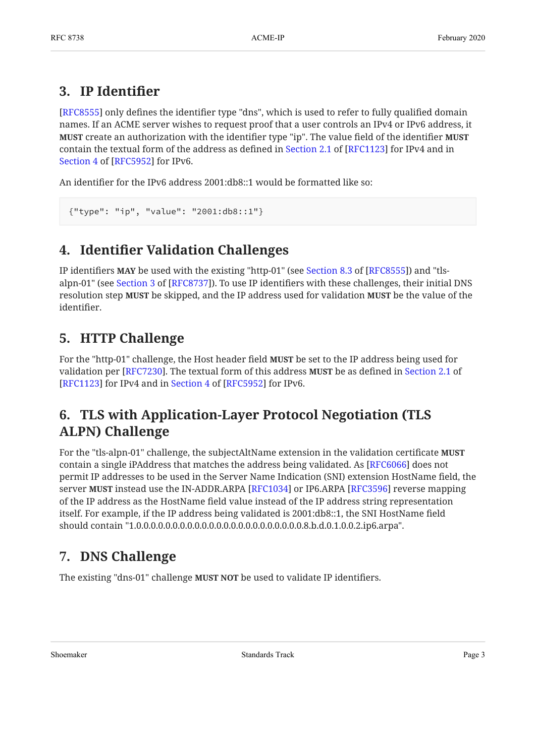## <span id="page-2-0"></span>**[3. IP Identi](#page-2-0)fier**

[[RFC8555\]](#page-4-2) only defines the identifier type "dns", which is used to refer to fully qualified domain names. If an ACME server wishes to request proof that a user controls an IPv4 or IPv6 address, it **MUST** create an authorization with the identifier type "ip". The value field of the identifier **MUST** containthe textual form of the address as defined in Section 2.1 of [RFC1123] for IPv4 and in [Section 4](https://www.rfc-editor.org/rfc/rfc5952#section-4) of [\[RFC5952\]](#page-4-5) for IPv6.

An identifier for the IPv6 address 2001:db8::1 would be formatted like so:

```
{"type": "ip", "value": "2001:db8::1"}
```
## **[4.](#page-2-1) Identifi[er Validation Challenges](#page-2-1)**

IPidentifiers MAY be used with the existing "http-01" (see Section 8.3 of [RFC8555]) and "tls-alpn-01"(see Section 3 of [RFC8737]). To use IP identifiers with these challenges, their initial DNS resolution step **MUST** be skipped, and the IP address used for validation **MUST** be the value of the identifier.

## <span id="page-2-2"></span>**[5. HTTP Challenge](#page-2-2)**

For the "http-01" challenge, the Host header field **MUST** be set to the IP address being used for validation per [RFC7230]. The textual form of this address **MUST** be as defined in [Section 2.1](https://www.rfc-editor.org/rfc/rfc1123#section-2.1) of [RFC1123]for IPv4 and in Section 4 of  $[RFC5952]$  for IPv6.

## <span id="page-2-3"></span>**[6. TLS with Application-Layer Protocol Negotiation \(TLS](#page-2-3) [ALPN\) Challenge](#page-2-3)**

For the "tls-alpn-01" challenge, the subjectAltName extension in the validation certificate **MUST** contain a single iPAddress that matches the address being validated. As  $[{\rm RFC6066}]$  does not permit IP addresses to be used in the Server Name Indication (SNI) extension HostName field, the server **MUST** instead use the IN-ADDR.ARPA [RFC1034] or IP6.ARPA [RFC3596] reverse mapping of the IP address as the HostName field value instead of the IP address string representation itself. For example, if the IP address being validated is 2001:db8::1, the SNI HostName field should contain "1.0.0.0.0.0.0.0.0.0.0.0.0.0.0.0.0.0.0.0.0.0.0.0.8.b.d.0.1.0.0.2.ip6.arpa".

## <span id="page-2-4"></span>**[7. DNS Challenge](#page-2-4)**

The existing "dns-01" challenge **MUST NOT** be used to validate IP identifiers.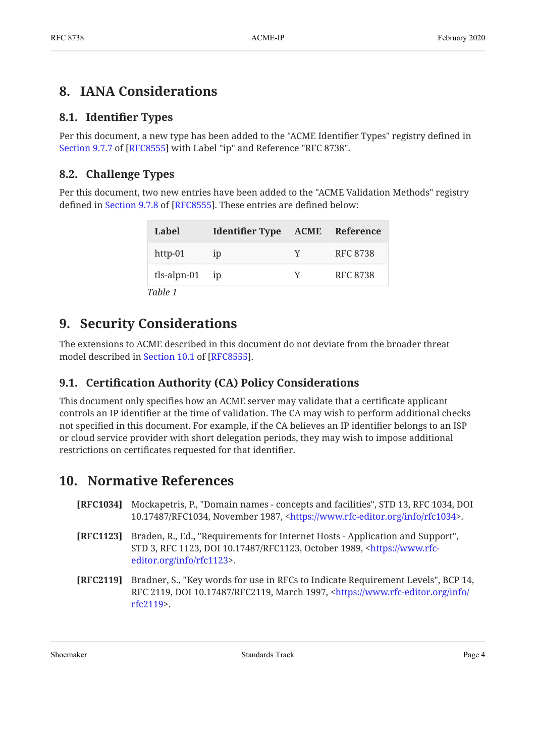## <span id="page-3-1"></span><span id="page-3-0"></span>**[8. IANA Considerations](#page-3-0)**

#### **[8.1. I](#page-3-1)dentifi[er Types](#page-3-1)**

Per this document, a new type has been added to the "ACME Identifier Types" registry defined in [Section 9.7.7](https://www.rfc-editor.org/rfc/rfc8555#section-9.7.7) of [\[RFC8555](#page-4-2)] with Label "ip" and Reference "RFC 8738".

#### <span id="page-3-2"></span>**[8.2. Challenge Types](#page-3-2)**

Per this document, two new entries have been added to the "ACME Validation Methods" registry defined in Section 9.7.8 of [RFC8555]. These entries are defined below:

<span id="page-3-9"></span>

| Label             | <b>Identifier Type</b> |   | <b>ACME</b> Reference |
|-------------------|------------------------|---|-----------------------|
| http-01           | 1D                     | Y | RFC 8738              |
| $tls$ -alpn-01 ip |                        | Y | <b>RFC 8738</b>       |
| Table 1           |                        |   |                       |

#### <span id="page-3-3"></span>**[9. Security Considerations](#page-3-3)**

The extensions to ACME described in this document do not deviate from the broader threat model described in [Section 10.1](https://www.rfc-editor.org/rfc/rfc8555#section-10.1) of [\[RFC8555](#page-4-2)].

#### <span id="page-3-4"></span>**[9.1. C](#page-3-4)ertifi[cation Authority \(CA\) Policy Considerations](#page-3-4)**

This document only specifies how an ACME server may validate that a certificate applicant controls an IP identifier at the time of validation. The CA may wish to perform additional checks not specified in this document. For example, if the CA believes an IP identifier belongs to an ISP or cloud service provider with short delegation periods, they may wish to impose additional restrictions on certificates requested for that identifier.

#### <span id="page-3-5"></span>**[10. Normative References](#page-3-5)**

- <span id="page-3-8"></span>**[RFC1034]** Mockapetris, P., "Domain names - concepts and facilities", STD 13, RFC 1034, DOI 10.17487/RFC1034, November 1987, <https://www.rfc-editor.org/info/rfc1034>.
- <span id="page-3-7"></span>**[RFC1123]** Braden, R., Ed., "Requirements for Internet Hosts - Application and Support", STD 3, RFC 1123, DOI 10.17487/RFC1123, October 1989, [<https://www.rfc-](https://www.rfc-editor.org/info/rfc1123). [editor.org/info/rfc1123>](https://www.rfc-editor.org/info/rfc1123)
- <span id="page-3-6"></span>**[RFC2119]** Bradner, S., "Key words for use in RFCs to Indicate Requirement Levels", BCP 14, RFC 2119, DOI 10.17487/RFC2119, March 1997, <[https://www.rfc-editor.org/info/](https://www.rfc-editor.org/info/rfc2119) . [rfc2119>](https://www.rfc-editor.org/info/rfc2119)

Shoemaker **Standards Track** Page 4